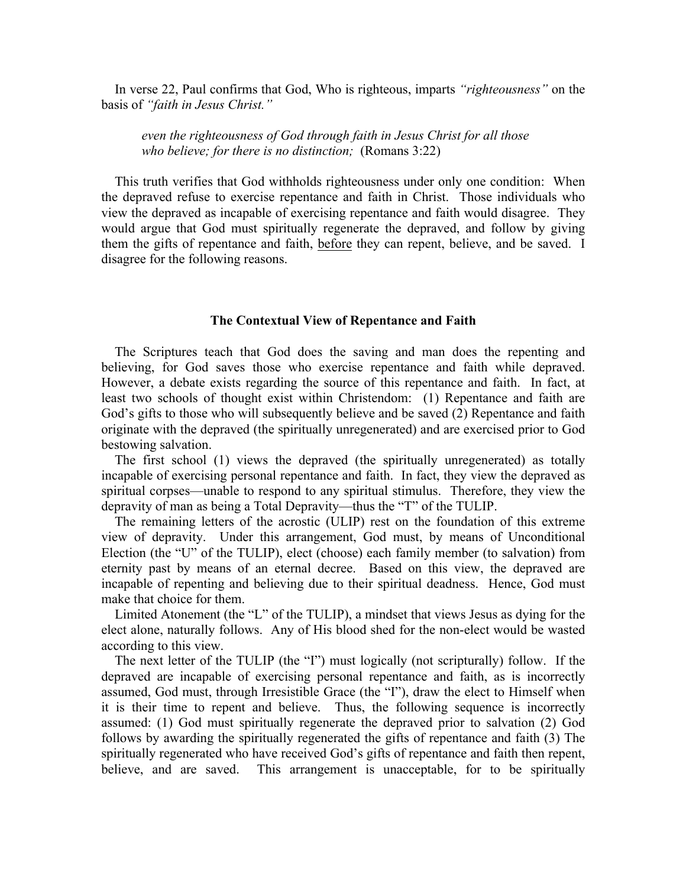In verse 22, Paul confirms that God, Who is righteous, imparts *"righteousness"* on the basis of *"faith in Jesus Christ."*

*even the righteousness of God through faith in Jesus Christ for all those who believe; for there is no distinction;* (Romans 3:22)

 This truth verifies that God withholds righteousness under only one condition: When the depraved refuse to exercise repentance and faith in Christ. Those individuals who view the depraved as incapable of exercising repentance and faith would disagree. They would argue that God must spiritually regenerate the depraved, and follow by giving them the gifts of repentance and faith, before they can repent, believe, and be saved. I disagree for the following reasons.

## **The Contextual View of Repentance and Faith**

 The Scriptures teach that God does the saving and man does the repenting and believing, for God saves those who exercise repentance and faith while depraved. However, a debate exists regarding the source of this repentance and faith. In fact, at least two schools of thought exist within Christendom: (1) Repentance and faith are God's gifts to those who will subsequently believe and be saved (2) Repentance and faith originate with the depraved (the spiritually unregenerated) and are exercised prior to God bestowing salvation.

 The first school (1) views the depraved (the spiritually unregenerated) as totally incapable of exercising personal repentance and faith. In fact, they view the depraved as spiritual corpses—unable to respond to any spiritual stimulus. Therefore, they view the depravity of man as being a Total Depravity—thus the "T" of the TULIP.

 The remaining letters of the acrostic (ULIP) rest on the foundation of this extreme view of depravity. Under this arrangement, God must, by means of Unconditional Election (the "U" of the TULIP), elect (choose) each family member (to salvation) from eternity past by means of an eternal decree. Based on this view, the depraved are incapable of repenting and believing due to their spiritual deadness. Hence, God must make that choice for them.

 Limited Atonement (the "L" of the TULIP), a mindset that views Jesus as dying for the elect alone, naturally follows. Any of His blood shed for the non-elect would be wasted according to this view.

 The next letter of the TULIP (the "I") must logically (not scripturally) follow. If the depraved are incapable of exercising personal repentance and faith, as is incorrectly assumed, God must, through Irresistible Grace (the "I"), draw the elect to Himself when it is their time to repent and believe. Thus, the following sequence is incorrectly assumed: (1) God must spiritually regenerate the depraved prior to salvation (2) God follows by awarding the spiritually regenerated the gifts of repentance and faith (3) The spiritually regenerated who have received God's gifts of repentance and faith then repent, believe, and are saved. This arrangement is unacceptable, for to be spiritually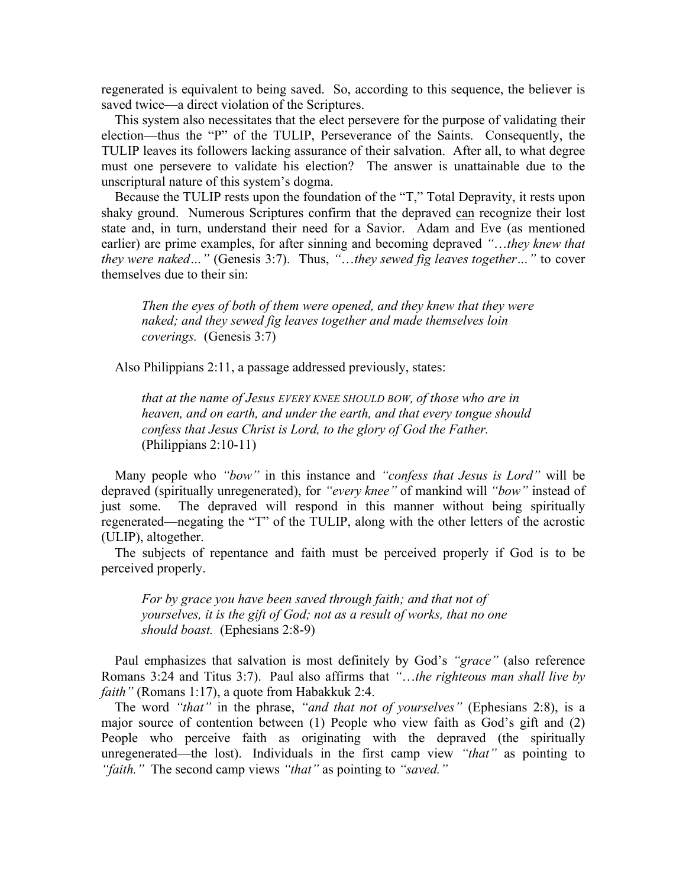regenerated is equivalent to being saved. So, according to this sequence, the believer is saved twice—a direct violation of the Scriptures.

 This system also necessitates that the elect persevere for the purpose of validating their election—thus the "P" of the TULIP, Perseverance of the Saints. Consequently, the TULIP leaves its followers lacking assurance of their salvation. After all, to what degree must one persevere to validate his election? The answer is unattainable due to the unscriptural nature of this system's dogma.

 Because the TULIP rests upon the foundation of the "T," Total Depravity, it rests upon shaky ground. Numerous Scriptures confirm that the depraved can recognize their lost state and, in turn, understand their need for a Savior. Adam and Eve (as mentioned earlier) are prime examples, for after sinning and becoming depraved *"*…*they knew that they were naked…"* (Genesis 3:7). Thus, *"*…*they sewed fig leaves together…"* to cover themselves due to their sin:

*Then the eyes of both of them were opened, and they knew that they were naked; and they sewed fig leaves together and made themselves loin coverings.* (Genesis 3:7)

Also Philippians 2:11, a passage addressed previously, states:

*that at the name of Jesus EVERY KNEE SHOULD BOW, of those who are in heaven, and on earth, and under the earth, and that every tongue should confess that Jesus Christ is Lord, to the glory of God the Father.* (Philippians 2:10-11)

 Many people who *"bow"* in this instance and *"confess that Jesus is Lord"* will be depraved (spiritually unregenerated), for *"every knee"* of mankind will *"bow"* instead of just some. The depraved will respond in this manner without being spiritually regenerated—negating the "T" of the TULIP, along with the other letters of the acrostic (ULIP), altogether.

 The subjects of repentance and faith must be perceived properly if God is to be perceived properly.

*For by grace you have been saved through faith; and that not of yourselves, it is the gift of God; not as a result of works, that no one should boast.* (Ephesians 2:8-9)

 Paul emphasizes that salvation is most definitely by God's *"grace"* (also reference Romans 3:24 and Titus 3:7). Paul also affirms that *"*…*the righteous man shall live by faith"* (Romans 1:17), a quote from Habakkuk 2:4.

 The word *"that"* in the phrase, *"and that not of yourselves"* (Ephesians 2:8), is a major source of contention between (1) People who view faith as God's gift and (2) People who perceive faith as originating with the depraved (the spiritually unregenerated—the lost). Individuals in the first camp view *"that"* as pointing to *"faith."* The second camp views *"that"* as pointing to *"saved."*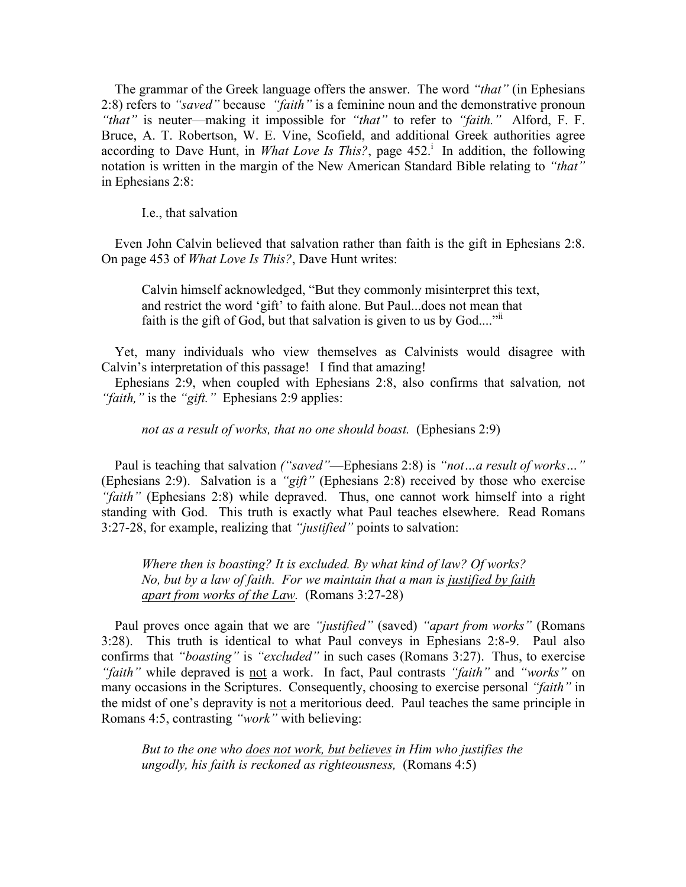The grammar of the Greek language offers the answer. The word *"that"* (in Ephesians 2:8) refers to *"saved"* because *"faith"* is a feminine noun and the demonstrative pronoun *"that"* is neuter—making it impossible for *"that"* to refer to *"faith."* Alford, F. F. Bruce, A. T. Robertson, W. E. Vine, Scofield, and additional Greek authorities agree according to Dave Hunt, in *What Love Is This?*, page  $452<sup>1</sup>$ . In addition, the following notation is written in the margin of the New American Standard Bible relating to *"that"* in Ephesians 2:8:

I.e., that salvation

 Even John Calvin believed that salvation rather than faith is the gift in Ephesians 2:8. On page 453 of *What Love Is This?*, Dave Hunt writes:

Calvin himself acknowledged, "But they commonly misinterpret this text, and restrict the word 'gift' to faith alone. But Paul...does not mean that faith is the gift of God, but that salvation is given to us by  $God....$ <sup> $"ii$ </sup>

 Yet, many individuals who view themselves as Calvinists would disagree with Calvin's interpretation of this passage! I find that amazing!

 Ephesians 2:9, when coupled with Ephesians 2:8, also confirms that salvation*,* not *"faith,"* is the *"gift."* Ephesians 2:9 applies:

*not as a result of works, that no one should boast.* (Ephesians 2:9)

 Paul is teaching that salvation *("saved"*—Ephesians 2:8) is *"not…a result of works…"* (Ephesians 2:9). Salvation is a *"gift"* (Ephesians 2:8) received by those who exercise *"faith"* (Ephesians 2:8) while depraved. Thus, one cannot work himself into a right standing with God. This truth is exactly what Paul teaches elsewhere. Read Romans 3:27-28, for example, realizing that *"justified"* points to salvation:

*Where then is boasting? It is excluded. By what kind of law? Of works? No, but by a law of faith. For we maintain that a man is justified by faith apart from works of the Law.* (Romans 3:27-28)

 Paul proves once again that we are *"justified"* (saved) *"apart from works"* (Romans 3:28). This truth is identical to what Paul conveys in Ephesians 2:8-9. Paul also confirms that *"boasting"* is *"excluded"* in such cases (Romans 3:27). Thus, to exercise *"faith"* while depraved is not a work. In fact, Paul contrasts *"faith"* and *"works"* on many occasions in the Scriptures. Consequently, choosing to exercise personal *"faith"* in the midst of one's depravity is not a meritorious deed. Paul teaches the same principle in Romans 4:5, contrasting *"work"* with believing:

*But to the one who does not work, but believes in Him who justifies the ungodly, his faith is reckoned as righteousness,* (Romans 4:5)